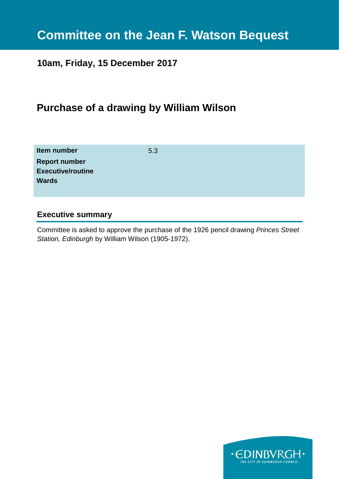# **Committee on the Jean F. Watson Bequest**

### **10am, Friday, 15 December 2017**

### **Purchase of a drawing by William Wilson**

| Item number              | 5.3 |
|--------------------------|-----|
| <b>Report number</b>     |     |
| <b>Executive/routine</b> |     |
| <b>Wards</b>             |     |
|                          |     |

#### **Executive summary**

Committee is asked to approve the purchase of the 1926 pencil drawing *Princes Street Station, Edinburgh* by William Wilson (1905-1972).

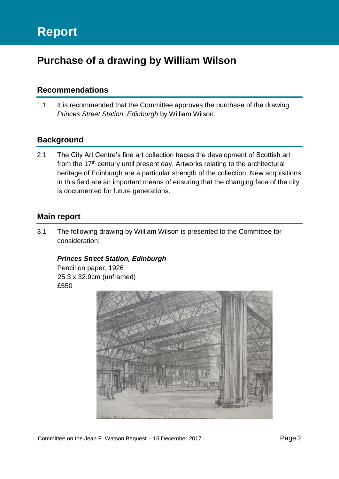## **Purchase of a drawing by William Wilson**

#### **Recommendations**

1.1 It is recommended that the Committee approves the purchase of the drawing *Princes Street Station, Edinburgh* by William Wilson.

#### **Background**

2.1 The City Art Centre's fine art collection traces the development of Scottish art from the 17<sup>th</sup> century until present day. Artworks relating to the architectural heritage of Edinburgh are a particular strength of the collection. New acquisitions in this field are an important means of ensuring that the changing face of the city is documented for future generations.

#### **Main report**

3.1 The following drawing by William Wilson is presented to the Committee for consideration:

#### *Princes Street Station, Edinburgh*

Pencil on paper, 1926 25.3 x 32.9cm (unframed) £550

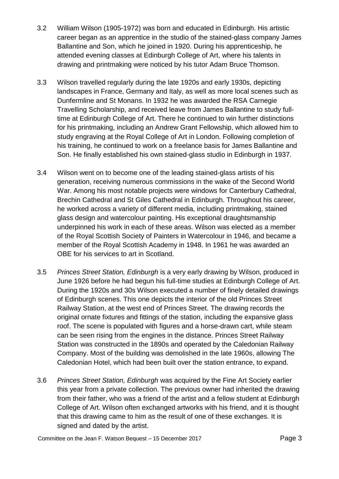- 3.2 William Wilson (1905-1972) was born and educated in Edinburgh. His artistic career began as an apprentice in the studio of the stained-glass company James Ballantine and Son, which he joined in 1920. During his apprenticeship, he attended evening classes at Edinburgh College of Art, where his talents in drawing and printmaking were noticed by his tutor Adam Bruce Thomson.
- 3.3 Wilson travelled regularly during the late 1920s and early 1930s, depicting landscapes in France, Germany and Italy, as well as more local scenes such as Dunfermline and St Monans. In 1932 he was awarded the RSA Carnegie Travelling Scholarship, and received leave from James Ballantine to study fulltime at Edinburgh College of Art. There he continued to win further distinctions for his printmaking, including an Andrew Grant Fellowship, which allowed him to study engraving at the Royal College of Art in London. Following completion of his training, he continued to work on a freelance basis for James Ballantine and Son. He finally established his own stained-glass studio in Edinburgh in 1937.
- 3.4 Wilson went on to become one of the leading stained-glass artists of his generation, receiving numerous commissions in the wake of the Second World War. Among his most notable projects were windows for Canterbury Cathedral, Brechin Cathedral and St Giles Cathedral in Edinburgh. Throughout his career, he worked across a variety of different media, including printmaking, stained glass design and watercolour painting. His exceptional draughtsmanship underpinned his work in each of these areas. Wilson was elected as a member of the Royal Scottish Society of Painters in Watercolour in 1946, and became a member of the Royal Scottish Academy in 1948. In 1961 he was awarded an OBE for his services to art in Scotland.
- 3.5 *Princes Street Station, Edinburgh* is a very early drawing by Wilson, produced in June 1926 before he had begun his full-time studies at Edinburgh College of Art. During the 1920s and 30s Wilson executed a number of finely detailed drawings of Edinburgh scenes. This one depicts the interior of the old Princes Street Railway Station, at the west end of Princes Street. The drawing records the original ornate fixtures and fittings of the station, including the expansive glass roof. The scene is populated with figures and a horse-drawn cart, while steam can be seen rising from the engines in the distance. Princes Street Railway Station was constructed in the 1890s and operated by the Caledonian Railway Company. Most of the building was demolished in the late 1960s, allowing The Caledonian Hotel, which had been built over the station entrance, to expand.
- 3.6 *Princes Street Station, Edinburgh* was acquired by the Fine Art Society earlier this year from a private collection. The previous owner had inherited the drawing from their father, who was a friend of the artist and a fellow student at Edinburgh College of Art. Wilson often exchanged artworks with his friend, and it is thought that this drawing came to him as the result of one of these exchanges. It is signed and dated by the artist.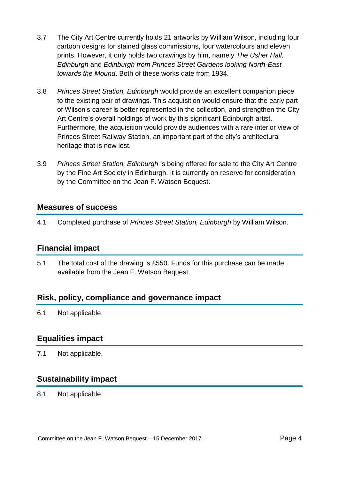- 3.7 The City Art Centre currently holds 21 artworks by William Wilson, including four cartoon designs for stained glass commissions, four watercolours and eleven prints. However, it only holds two drawings by him, namely *The Usher Hall, Edinburgh* and *Edinburgh from Princes Street Gardens looking North-East towards the Mound*. Both of these works date from 1934.
- 3.8 *Princes Street Station, Edinburgh* would provide an excellent companion piece to the existing pair of drawings. This acquisition would ensure that the early part of Wilson's career is better represented in the collection, and strengthen the City Art Centre's overall holdings of work by this significant Edinburgh artist. Furthermore, the acquisition would provide audiences with a rare interior view of Princes Street Railway Station, an important part of the city's architectural heritage that is now lost.
- 3.9 *Princes Street Station, Edinburgh* is being offered for sale to the City Art Centre by the Fine Art Society in Edinburgh. It is currently on reserve for consideration by the Committee on the Jean F. Watson Bequest.

#### **Measures of success**

4.1 Completed purchase of *Princes Street Station, Edinburgh* by William Wilson.

#### **Financial impact**

5.1 The total cost of the drawing is £550. Funds for this purchase can be made available from the Jean F. Watson Bequest.

#### **Risk, policy, compliance and governance impact**

6.1 Not applicable.

#### **Equalities impact**

7.1 Not applicable.

#### **Sustainability impact**

8.1 Not applicable.